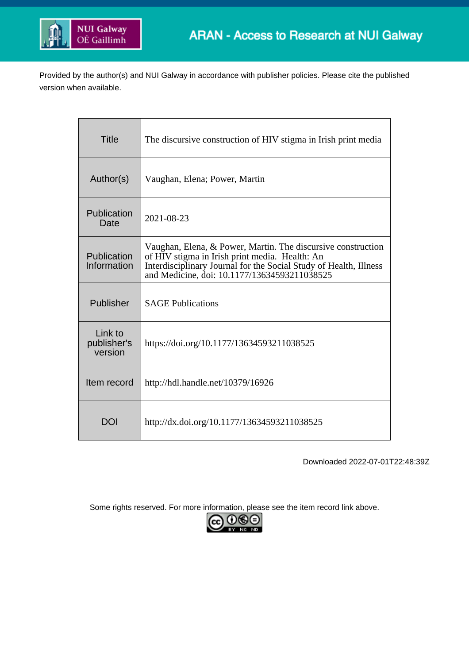

Provided by the author(s) and NUI Galway in accordance with publisher policies. Please cite the published version when available.

| <b>Title</b>                      | The discursive construction of HIV stigma in Irish print media                                                                                                                                                                      |
|-----------------------------------|-------------------------------------------------------------------------------------------------------------------------------------------------------------------------------------------------------------------------------------|
| Author(s)                         | Vaughan, Elena; Power, Martin                                                                                                                                                                                                       |
| Publication<br>Date               | 2021-08-23                                                                                                                                                                                                                          |
| Publication<br>Information        | Vaughan, Elena, & Power, Martin. The discursive construction<br>of HIV stigma in Irish print media. Health: An<br>Interdisciplinary Journal for the Social Study of Health, Illness<br>and Medicine, doi: 10.1177/13634593211038525 |
| Publisher                         | <b>SAGE Publications</b>                                                                                                                                                                                                            |
| Link to<br>publisher's<br>version | https://doi.org/10.1177/13634593211038525                                                                                                                                                                                           |
| Item record                       | http://hdl.handle.net/10379/16926                                                                                                                                                                                                   |
| DOI                               | http://dx.doi.org/10.1177/13634593211038525                                                                                                                                                                                         |

Downloaded 2022-07-01T22:48:39Z

Some rights reserved. For more information, please see the item record link above.

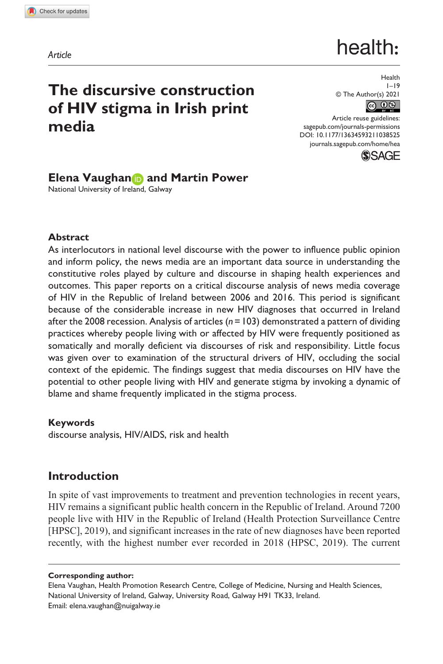**1038[525](http://crossmark.crossref.org/dialog/?doi=10.1177%2F13634593211038525&domain=pdf&date_stamp=2021-08-23)** HEA0010.1177/13634593211038525Health**Vaughan et al.**

*Article*

# health:

# **The discursive construction of HIV stigma in Irish print media**

Health  $1 - 19$ © The Author(s) 2021

DOI: 10.1177/13634593211038525 Article reuse guidelines: [sagepub.com/journals-permissions](https://uk.sagepub.com/en-gb/journals-permissions) [journals.sagepub.com/home/hea](https://journals.sagepub.com/home/hea)



# **Elena Vaughan and Martin Power**

National University of Ireland, Galway

#### **Abstract**

As interlocutors in national level discourse with the power to influence public opinion and inform policy, the news media are an important data source in understanding the constitutive roles played by culture and discourse in shaping health experiences and outcomes. This paper reports on a critical discourse analysis of news media coverage of HIV in the Republic of Ireland between 2006 and 2016. This period is significant because of the considerable increase in new HIV diagnoses that occurred in Ireland after the 2008 recession. Analysis of articles (*n*=103) demonstrated a pattern of dividing practices whereby people living with or affected by HIV were frequently positioned as somatically and morally deficient via discourses of risk and responsibility. Little focus was given over to examination of the structural drivers of HIV, occluding the social context of the epidemic. The findings suggest that media discourses on HIV have the potential to other people living with HIV and generate stigma by invoking a dynamic of blame and shame frequently implicated in the stigma process.

#### **Keywords**

discourse analysis, HIV/AIDS, risk and health

# **Introduction**

In spite of vast improvements to treatment and prevention technologies in recent years, HIV remains a significant public health concern in the Republic of Ireland. Around 7200 people live with HIV in the Republic of Ireland (Health Protection Surveillance Centre [HPSC], 2019), and significant increases in the rate of new diagnoses have been reported recently, with the highest number ever recorded in 2018 (HPSC, 2019). The current

#### **Corresponding author:**

Elena Vaughan, Health Promotion Research Centre, College of Medicine, Nursing and Health Sciences, National University of Ireland, Galway, University Road, Galway H91 TK33, Ireland. Email: [elena.vaughan@nuigalway.ie](mailto:elena.vaughan@nuigalway.ie)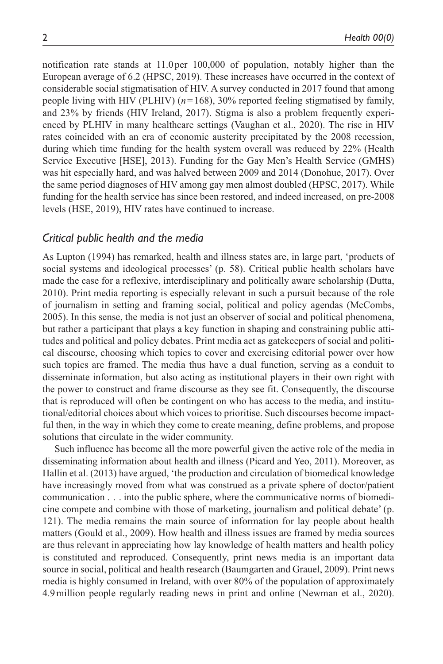notification rate stands at 11.0 per 100,000 of population, notably higher than the European average of 6.2 (HPSC, 2019). These increases have occurred in the context of considerable social stigmatisation of HIV. A survey conducted in 2017 found that among people living with HIV (PLHIV) (*n*=168), 30% reported feeling stigmatised by family, and 23% by friends (HIV Ireland, 2017). Stigma is also a problem frequently experienced by PLHIV in many healthcare settings (Vaughan et al., 2020). The rise in HIV rates coincided with an era of economic austerity precipitated by the 2008 recession, during which time funding for the health system overall was reduced by 22% (Health Service Executive [HSE], 2013). Funding for the Gay Men's Health Service (GMHS) was hit especially hard, and was halved between 2009 and 2014 (Donohue, 2017). Over the same period diagnoses of HIV among gay men almost doubled (HPSC, 2017). While funding for the health service has since been restored, and indeed increased, on pre-2008 levels (HSE, 2019), HIV rates have continued to increase.

#### *Critical public health and the media*

As Lupton (1994) has remarked, health and illness states are, in large part, 'products of social systems and ideological processes' (p. 58). Critical public health scholars have made the case for a reflexive, interdisciplinary and politically aware scholarship (Dutta, 2010). Print media reporting is especially relevant in such a pursuit because of the role of journalism in setting and framing social, political and policy agendas (McCombs, 2005). In this sense, the media is not just an observer of social and political phenomena, but rather a participant that plays a key function in shaping and constraining public attitudes and political and policy debates. Print media act as gatekeepers of social and political discourse, choosing which topics to cover and exercising editorial power over how such topics are framed. The media thus have a dual function, serving as a conduit to disseminate information, but also acting as institutional players in their own right with the power to construct and frame discourse as they see fit. Consequently, the discourse that is reproduced will often be contingent on who has access to the media, and institutional/editorial choices about which voices to prioritise. Such discourses become impactful then, in the way in which they come to create meaning, define problems, and propose solutions that circulate in the wider community.

Such influence has become all the more powerful given the active role of the media in disseminating information about health and illness (Picard and Yeo, 2011). Moreover, as Hallin et al. (2013) have argued, 'the production and circulation of biomedical knowledge have increasingly moved from what was construed as a private sphere of doctor/patient communication . . . into the public sphere, where the communicative norms of biomedicine compete and combine with those of marketing, journalism and political debate' (p. 121). The media remains the main source of information for lay people about health matters (Gould et al., 2009). How health and illness issues are framed by media sources are thus relevant in appreciating how lay knowledge of health matters and health policy is constituted and reproduced. Consequently, print news media is an important data source in social, political and health research (Baumgarten and Grauel, 2009). Print news media is highly consumed in Ireland, with over 80% of the population of approximately 4.9million people regularly reading news in print and online (Newman et al., 2020).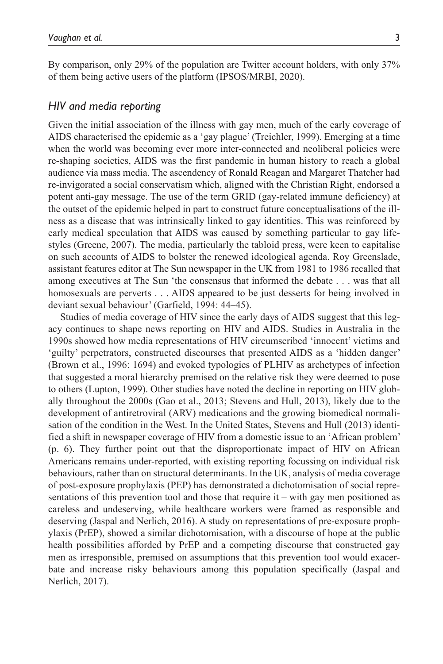By comparison, only 29% of the population are Twitter account holders, with only 37% of them being active users of the platform (IPSOS/MRBI, 2020).

#### *HIV and media reporting*

Given the initial association of the illness with gay men, much of the early coverage of AIDS characterised the epidemic as a 'gay plague' (Treichler, 1999). Emerging at a time when the world was becoming ever more inter-connected and neoliberal policies were re-shaping societies, AIDS was the first pandemic in human history to reach a global audience via mass media. The ascendency of Ronald Reagan and Margaret Thatcher had re-invigorated a social conservatism which, aligned with the Christian Right, endorsed a potent anti-gay message. The use of the term GRID (gay-related immune deficiency) at the outset of the epidemic helped in part to construct future conceptualisations of the illness as a disease that was intrinsically linked to gay identities. This was reinforced by early medical speculation that AIDS was caused by something particular to gay lifestyles (Greene, 2007). The media, particularly the tabloid press, were keen to capitalise on such accounts of AIDS to bolster the renewed ideological agenda. Roy Greenslade, assistant features editor at The Sun newspaper in the UK from 1981 to 1986 recalled that among executives at The Sun 'the consensus that informed the debate . . . was that all homosexuals are perverts . . . AIDS appeared to be just desserts for being involved in deviant sexual behaviour' (Garfield, 1994: 44–45).

Studies of media coverage of HIV since the early days of AIDS suggest that this legacy continues to shape news reporting on HIV and AIDS. Studies in Australia in the 1990s showed how media representations of HIV circumscribed 'innocent' victims and 'guilty' perpetrators, constructed discourses that presented AIDS as a 'hidden danger' (Brown et al., 1996: 1694) and evoked typologies of PLHIV as archetypes of infection that suggested a moral hierarchy premised on the relative risk they were deemed to pose to others (Lupton, 1999). Other studies have noted the decline in reporting on HIV globally throughout the 2000s (Gao et al., 2013; Stevens and Hull, 2013), likely due to the development of antiretroviral (ARV) medications and the growing biomedical normalisation of the condition in the West. In the United States, Stevens and Hull (2013) identified a shift in newspaper coverage of HIV from a domestic issue to an 'African problem' (p. 6). They further point out that the disproportionate impact of HIV on African Americans remains under-reported, with existing reporting focussing on individual risk behaviours, rather than on structural determinants. In the UK, analysis of media coverage of post-exposure prophylaxis (PEP) has demonstrated a dichotomisation of social representations of this prevention tool and those that require it – with gay men positioned as careless and undeserving, while healthcare workers were framed as responsible and deserving (Jaspal and Nerlich, 2016). A study on representations of pre-exposure prophylaxis (PrEP), showed a similar dichotomisation, with a discourse of hope at the public health possibilities afforded by PrEP and a competing discourse that constructed gay men as irresponsible, premised on assumptions that this prevention tool would exacerbate and increase risky behaviours among this population specifically (Jaspal and Nerlich, 2017).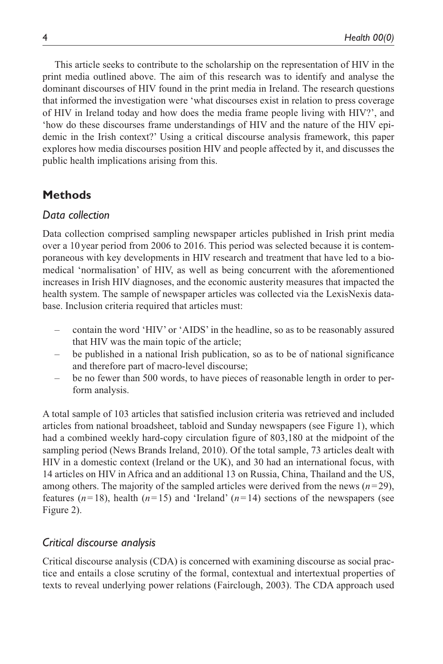This article seeks to contribute to the scholarship on the representation of HIV in the print media outlined above. The aim of this research was to identify and analyse the dominant discourses of HIV found in the print media in Ireland. The research questions that informed the investigation were 'what discourses exist in relation to press coverage of HIV in Ireland today and how does the media frame people living with HIV?', and 'how do these discourses frame understandings of HIV and the nature of the HIV epidemic in the Irish context?' Using a critical discourse analysis framework, this paper explores how media discourses position HIV and people affected by it, and discusses the public health implications arising from this.

# **Methods**

#### *Data collection*

Data collection comprised sampling newspaper articles published in Irish print media over a 10 year period from 2006 to 2016. This period was selected because it is contemporaneous with key developments in HIV research and treatment that have led to a biomedical 'normalisation' of HIV, as well as being concurrent with the aforementioned increases in Irish HIV diagnoses, and the economic austerity measures that impacted the health system. The sample of newspaper articles was collected via the LexisNexis database. Inclusion criteria required that articles must:

- contain the word 'HIV' or 'AIDS' in the headline, so as to be reasonably assured that HIV was the main topic of the article;
- be published in a national Irish publication, so as to be of national significance and therefore part of macro-level discourse;
- be no fewer than 500 words, to have pieces of reasonable length in order to perform analysis.

A total sample of 103 articles that satisfied inclusion criteria was retrieved and included articles from national broadsheet, tabloid and Sunday newspapers (see Figure 1), which had a combined weekly hard-copy circulation figure of 803,180 at the midpoint of the sampling period (News Brands Ireland, 2010). Of the total sample, 73 articles dealt with HIV in a domestic context (Ireland or the UK), and 30 had an international focus, with 14 articles on HIV in Africa and an additional 13 on Russia, China, Thailand and the US, among others. The majority of the sampled articles were derived from the news  $(n=29)$ , features  $(n=18)$ , health  $(n=15)$  and 'Ireland'  $(n=14)$  sections of the newspapers (see Figure 2).

#### *Critical discourse analysis*

Critical discourse analysis (CDA) is concerned with examining discourse as social practice and entails a close scrutiny of the formal, contextual and intertextual properties of texts to reveal underlying power relations (Fairclough, 2003). The CDA approach used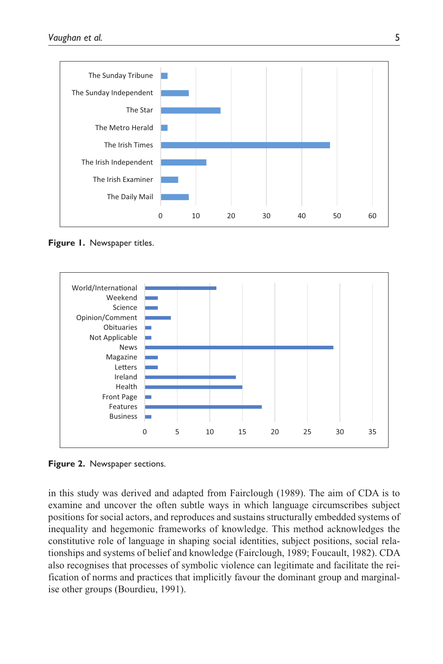

**Figure 1.** Newspaper titles.



**Figure 2.** Newspaper sections.

in this study was derived and adapted from Fairclough (1989). The aim of CDA is to examine and uncover the often subtle ways in which language circumscribes subject positions for social actors, and reproduces and sustains structurally embedded systems of inequality and hegemonic frameworks of knowledge. This method acknowledges the constitutive role of language in shaping social identities, subject positions, social relationships and systems of belief and knowledge (Fairclough, 1989; Foucault, 1982). CDA also recognises that processes of symbolic violence can legitimate and facilitate the reification of norms and practices that implicitly favour the dominant group and marginalise other groups (Bourdieu, 1991).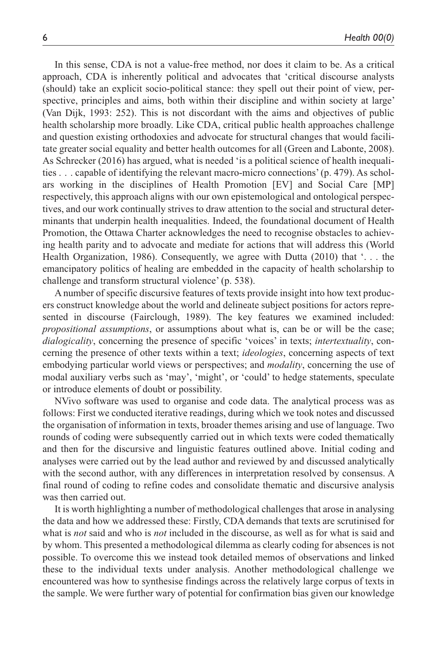In this sense, CDA is not a value-free method, nor does it claim to be. As a critical approach, CDA is inherently political and advocates that 'critical discourse analysts (should) take an explicit socio-political stance: they spell out their point of view, perspective, principles and aims, both within their discipline and within society at large' (Van Dijk, 1993: 252). This is not discordant with the aims and objectives of public health scholarship more broadly. Like CDA, critical public health approaches challenge and question existing orthodoxies and advocate for structural changes that would facilitate greater social equality and better health outcomes for all (Green and Labonte, 2008). As Schrecker (2016) has argued, what is needed 'is a political science of health inequalities . . . capable of identifying the relevant macro-micro connections' (p. 479). As scholars working in the disciplines of Health Promotion [EV] and Social Care [MP] respectively, this approach aligns with our own epistemological and ontological perspectives, and our work continually strives to draw attention to the social and structural determinants that underpin health inequalities. Indeed, the foundational document of Health Promotion, the Ottawa Charter acknowledges the need to recognise obstacles to achieving health parity and to advocate and mediate for actions that will address this (World Health Organization, 1986). Consequently, we agree with Dutta (2010) that '. . . the emancipatory politics of healing are embedded in the capacity of health scholarship to challenge and transform structural violence' (p. 538).

A number of specific discursive features of texts provide insight into how text producers construct knowledge about the world and delineate subject positions for actors represented in discourse (Fairclough, 1989). The key features we examined included: *propositional assumptions*, or assumptions about what is, can be or will be the case; *dialogicality*, concerning the presence of specific 'voices' in texts; *intertextuality*, concerning the presence of other texts within a text; *ideologies*, concerning aspects of text embodying particular world views or perspectives; and *modality*, concerning the use of modal auxiliary verbs such as 'may', 'might', or 'could' to hedge statements, speculate or introduce elements of doubt or possibility.

NVivo software was used to organise and code data. The analytical process was as follows: First we conducted iterative readings, during which we took notes and discussed the organisation of information in texts, broader themes arising and use of language. Two rounds of coding were subsequently carried out in which texts were coded thematically and then for the discursive and linguistic features outlined above. Initial coding and analyses were carried out by the lead author and reviewed by and discussed analytically with the second author, with any differences in interpretation resolved by consensus. A final round of coding to refine codes and consolidate thematic and discursive analysis was then carried out.

It is worth highlighting a number of methodological challenges that arose in analysing the data and how we addressed these: Firstly, CDA demands that texts are scrutinised for what is *not* said and who is *not* included in the discourse, as well as for what is said and by whom. This presented a methodological dilemma as clearly coding for absences is not possible. To overcome this we instead took detailed memos of observations and linked these to the individual texts under analysis. Another methodological challenge we encountered was how to synthesise findings across the relatively large corpus of texts in the sample. We were further wary of potential for confirmation bias given our knowledge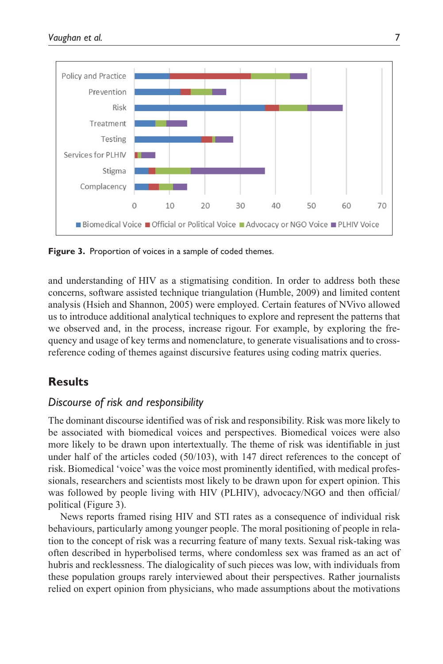

**Figure 3.** Proportion of voices in a sample of coded themes.

and understanding of HIV as a stigmatising condition. In order to address both these concerns, software assisted technique triangulation (Humble, 2009) and limited content analysis (Hsieh and Shannon, 2005) were employed. Certain features of NVivo allowed us to introduce additional analytical techniques to explore and represent the patterns that we observed and, in the process, increase rigour. For example, by exploring the frequency and usage of key terms and nomenclature, to generate visualisations and to crossreference coding of themes against discursive features using coding matrix queries.

# **Results**

#### *Discourse of risk and responsibility*

The dominant discourse identified was of risk and responsibility. Risk was more likely to be associated with biomedical voices and perspectives. Biomedical voices were also more likely to be drawn upon intertextually. The theme of risk was identifiable in just under half of the articles coded (50/103), with 147 direct references to the concept of risk. Biomedical 'voice' was the voice most prominently identified, with medical professionals, researchers and scientists most likely to be drawn upon for expert opinion. This was followed by people living with HIV (PLHIV), advocacy/NGO and then official/ political (Figure 3).

News reports framed rising HIV and STI rates as a consequence of individual risk behaviours, particularly among younger people. The moral positioning of people in relation to the concept of risk was a recurring feature of many texts. Sexual risk-taking was often described in hyperbolised terms, where condomless sex was framed as an act of hubris and recklessness. The dialogicality of such pieces was low, with individuals from these population groups rarely interviewed about their perspectives. Rather journalists relied on expert opinion from physicians, who made assumptions about the motivations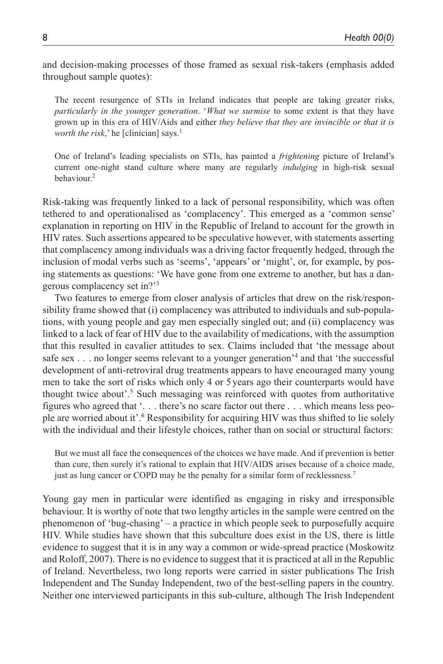and decision-making processes of those framed as sexual risk-takers (emphasis added throughout sample quotes):

The recent resurgence of STIs in Ireland indicates that people are taking greater risks, *particularly in the younger generation*. '*What we surmise* to some extent is that they have grown up in this era of HIV/Aids and either *they believe that they are invincible or that it is worth the risk*,' he [clinician] says.<sup>1</sup>

One of Ireland's leading specialists on STIs, has painted a *frightening* picture of Ireland's current one-night stand culture where many are regularly *indulging* in high-risk sexual behaviour<sup>2</sup>

Risk-taking was frequently linked to a lack of personal responsibility, which was often tethered to and operationalised as 'complacency'. This emerged as a 'common sense' explanation in reporting on HIV in the Republic of Ireland to account for the growth in HIV rates. Such assertions appeared to be speculative however, with statements asserting that complacency among individuals was a driving factor frequently hedged, through the inclusion of modal verbs such as 'seems', 'appears' or 'might', or, for example, by posing statements as questions: 'We have gone from one extreme to another, but has a dangerous complacency set in?'3

Two features to emerge from closer analysis of articles that drew on the risk/responsibility frame showed that (i) complacency was attributed to individuals and sub-populations, with young people and gay men especially singled out; and (ii) complacency was linked to a lack of fear of HIV due to the availability of medications, with the assumption that this resulted in cavalier attitudes to sex. Claims included that 'the message about safe sex . . . no longer seems relevant to a younger generation<sup>'4</sup> and that 'the successful development of anti-retroviral drug treatments appears to have encouraged many young men to take the sort of risks which only 4 or 5 years ago their counterparts would have thought twice about'.<sup>5</sup> Such messaging was reinforced with quotes from authoritative figures who agreed that '. . . there's no scare factor out there . . . which means less people are worried about it'.<sup>6</sup> Responsibility for acquiring HIV was thus shifted to lie solely with the individual and their lifestyle choices, rather than on social or structural factors:

But we must all face the consequences of the choices we have made. And if prevention is better than cure, then surely it's rational to explain that HIV/AIDS arises because of a choice made, just as lung cancer or COPD may be the penalty for a similar form of recklessness.<sup>7</sup>

Young gay men in particular were identified as engaging in risky and irresponsible behaviour. It is worthy of note that two lengthy articles in the sample were centred on the phenomenon of 'bug-chasing' – a practice in which people seek to purposefully acquire HIV. While studies have shown that this subculture does exist in the US, there is little evidence to suggest that it is in any way a common or wide-spread practice (Moskowitz and Roloff, 2007). There is no evidence to suggest that it is practiced at all in the Republic of Ireland. Nevertheless, two long reports were carried in sister publications The Irish Independent and The Sunday Independent, two of the best-selling papers in the country. Neither one interviewed participants in this sub-culture, although The Irish Independent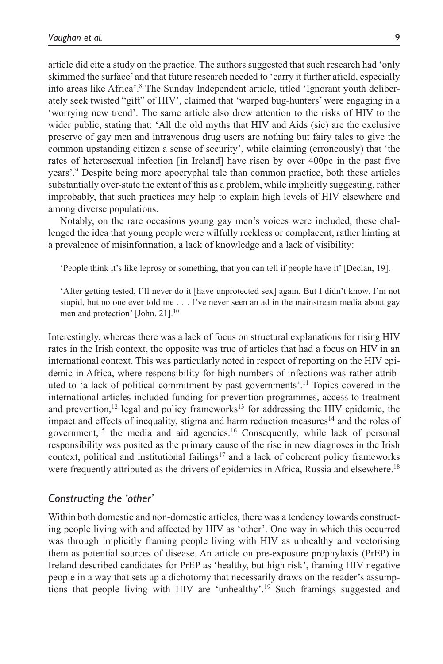article did cite a study on the practice. The authors suggested that such research had 'only skimmed the surface' and that future research needed to 'carry it further afield, especially into areas like Africa'.<sup>8</sup> The Sunday Independent article, titled 'Ignorant youth deliberately seek twisted "gift" of HIV', claimed that 'warped bug-hunters' were engaging in a 'worrying new trend'. The same article also drew attention to the risks of HIV to the wider public, stating that: 'All the old myths that HIV and Aids (sic) are the exclusive preserve of gay men and intravenous drug users are nothing but fairy tales to give the common upstanding citizen a sense of security', while claiming (erroneously) that 'the rates of heterosexual infection [in Ireland] have risen by over 400pc in the past five years'.9 Despite being more apocryphal tale than common practice, both these articles substantially over-state the extent of this as a problem, while implicitly suggesting, rather improbably, that such practices may help to explain high levels of HIV elsewhere and among diverse populations.

Notably, on the rare occasions young gay men's voices were included, these challenged the idea that young people were wilfully reckless or complacent, rather hinting at a prevalence of misinformation, a lack of knowledge and a lack of visibility:

'People think it's like leprosy or something, that you can tell if people have it' [Declan, 19].

'After getting tested, I'll never do it [have unprotected sex] again. But I didn't know. I'm not stupid, but no one ever told me . . . I've never seen an ad in the mainstream media about gay men and protection' [John, 21].10

Interestingly, whereas there was a lack of focus on structural explanations for rising HIV rates in the Irish context, the opposite was true of articles that had a focus on HIV in an international context. This was particularly noted in respect of reporting on the HIV epidemic in Africa, where responsibility for high numbers of infections was rather attributed to 'a lack of political commitment by past governments'.11 Topics covered in the international articles included funding for prevention programmes, access to treatment and prevention,<sup>12</sup> legal and policy frameworks<sup>13</sup> for addressing the HIV epidemic, the impact and effects of inequality, stigma and harm reduction measures<sup>14</sup> and the roles of government,<sup>15</sup> the media and aid agencies.<sup>16</sup> Consequently, while lack of personal responsibility was posited as the primary cause of the rise in new diagnoses in the Irish context, political and institutional failings<sup>17</sup> and a lack of coherent policy frameworks were frequently attributed as the drivers of epidemics in Africa, Russia and elsewhere.<sup>18</sup>

#### *Constructing the 'other'*

Within both domestic and non-domestic articles, there was a tendency towards constructing people living with and affected by HIV as 'other'. One way in which this occurred was through implicitly framing people living with HIV as unhealthy and vectorising them as potential sources of disease. An article on pre-exposure prophylaxis (PrEP) in Ireland described candidates for PrEP as 'healthy, but high risk', framing HIV negative people in a way that sets up a dichotomy that necessarily draws on the reader's assumptions that people living with HIV are 'unhealthy'.19 Such framings suggested and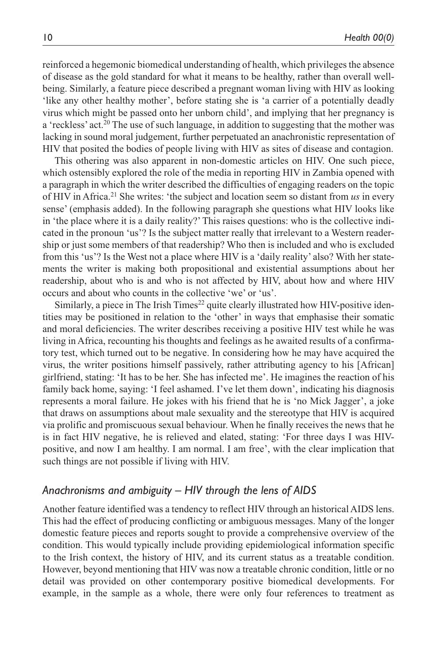reinforced a hegemonic biomedical understanding of health, which privileges the absence of disease as the gold standard for what it means to be healthy, rather than overall wellbeing. Similarly, a feature piece described a pregnant woman living with HIV as looking 'like any other healthy mother', before stating she is 'a carrier of a potentially deadly virus which might be passed onto her unborn child', and implying that her pregnancy is a 'reckless' act.<sup>20</sup> The use of such language, in addition to suggesting that the mother was lacking in sound moral judgement, further perpetuated an anachronistic representation of HIV that posited the bodies of people living with HIV as sites of disease and contagion.

This othering was also apparent in non-domestic articles on HIV. One such piece, which ostensibly explored the role of the media in reporting HIV in Zambia opened with a paragraph in which the writer described the difficulties of engaging readers on the topic of HIV in Africa.21 She writes: 'the subject and location seem so distant from *us* in every sense' (emphasis added). In the following paragraph she questions what HIV looks like in 'the place where it is a daily reality?' This raises questions: who is the collective indicated in the pronoun 'us'? Is the subject matter really that irrelevant to a Western readership or just some members of that readership? Who then is included and who is excluded from this 'us'? Is the West not a place where HIV is a 'daily reality' also? With her statements the writer is making both propositional and existential assumptions about her readership, about who is and who is not affected by HIV, about how and where HIV occurs and about who counts in the collective 'we' or 'us'.

Similarly, a piece in The Irish Times<sup>22</sup> quite clearly illustrated how HIV-positive identities may be positioned in relation to the 'other' in ways that emphasise their somatic and moral deficiencies. The writer describes receiving a positive HIV test while he was living in Africa, recounting his thoughts and feelings as he awaited results of a confirmatory test, which turned out to be negative. In considering how he may have acquired the virus, the writer positions himself passively, rather attributing agency to his [African] girlfriend, stating: 'It has to be her. She has infected me'. He imagines the reaction of his family back home, saying: 'I feel ashamed. I've let them down', indicating his diagnosis represents a moral failure. He jokes with his friend that he is 'no Mick Jagger', a joke that draws on assumptions about male sexuality and the stereotype that HIV is acquired via prolific and promiscuous sexual behaviour. When he finally receives the news that he is in fact HIV negative, he is relieved and elated, stating: 'For three days I was HIVpositive, and now I am healthy. I am normal. I am free', with the clear implication that such things are not possible if living with HIV.

#### *Anachronisms and ambiguity – HIV through the lens of AIDS*

Another feature identified was a tendency to reflect HIV through an historical AIDS lens. This had the effect of producing conflicting or ambiguous messages. Many of the longer domestic feature pieces and reports sought to provide a comprehensive overview of the condition. This would typically include providing epidemiological information specific to the Irish context, the history of HIV, and its current status as a treatable condition. However, beyond mentioning that HIV was now a treatable chronic condition, little or no detail was provided on other contemporary positive biomedical developments. For example, in the sample as a whole, there were only four references to treatment as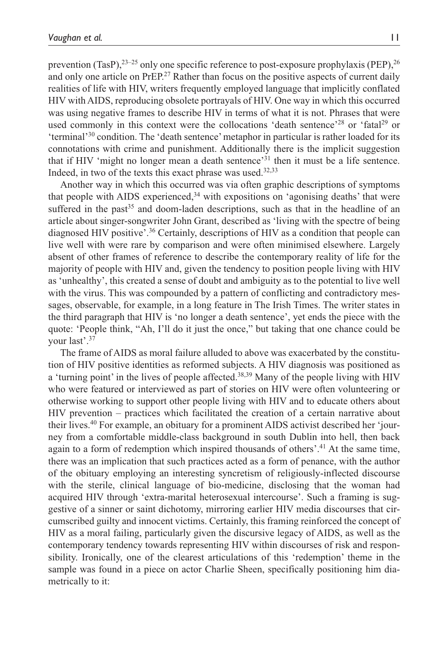prevention (TasP), $2^{3-25}$  only one specific reference to post-exposure prophylaxis (PEP), $2^{6}$ and only one article on PrEP.<sup>27</sup> Rather than focus on the positive aspects of current daily realities of life with HIV, writers frequently employed language that implicitly conflated HIV with AIDS, reproducing obsolete portrayals of HIV. One way in which this occurred was using negative frames to describe HIV in terms of what it is not. Phrases that were used commonly in this context were the collocations 'death sentence'<sup>28</sup> or 'fatal<sup>29</sup> or 'terminal'30 condition. The 'death sentence' metaphor in particular is rather loaded for its connotations with crime and punishment. Additionally there is the implicit suggestion that if HIV 'might no longer mean a death sentence'31 then it must be a life sentence. Indeed, in two of the texts this exact phrase was used.<sup>32,33</sup>

Another way in which this occurred was via often graphic descriptions of symptoms that people with AIDS experienced,<sup>34</sup> with expositions on 'agonising deaths' that were suffered in the past<sup>35</sup> and doom-laden descriptions, such as that in the headline of an article about singer-songwriter John Grant, described as 'living with the spectre of being diagnosed HIV positive'.36 Certainly, descriptions of HIV as a condition that people can live well with were rare by comparison and were often minimised elsewhere. Largely absent of other frames of reference to describe the contemporary reality of life for the majority of people with HIV and, given the tendency to position people living with HIV as 'unhealthy', this created a sense of doubt and ambiguity as to the potential to live well with the virus. This was compounded by a pattern of conflicting and contradictory messages, observable, for example, in a long feature in The Irish Times. The writer states in the third paragraph that HIV is 'no longer a death sentence', yet ends the piece with the quote: 'People think, "Ah, I'll do it just the once," but taking that one chance could be your last'.37

The frame of AIDS as moral failure alluded to above was exacerbated by the constitution of HIV positive identities as reformed subjects. A HIV diagnosis was positioned as a 'turning point' in the lives of people affected.38,39 Many of the people living with HIV who were featured or interviewed as part of stories on HIV were often volunteering or otherwise working to support other people living with HIV and to educate others about HIV prevention – practices which facilitated the creation of a certain narrative about their lives.40 For example, an obituary for a prominent AIDS activist described her 'journey from a comfortable middle-class background in south Dublin into hell, then back again to a form of redemption which inspired thousands of others'.41 At the same time, there was an implication that such practices acted as a form of penance, with the author of the obituary employing an interesting syncretism of religiously-inflected discourse with the sterile, clinical language of bio-medicine, disclosing that the woman had acquired HIV through 'extra-marital heterosexual intercourse'. Such a framing is suggestive of a sinner or saint dichotomy, mirroring earlier HIV media discourses that circumscribed guilty and innocent victims. Certainly, this framing reinforced the concept of HIV as a moral failing, particularly given the discursive legacy of AIDS, as well as the contemporary tendency towards representing HIV within discourses of risk and responsibility. Ironically, one of the clearest articulations of this 'redemption' theme in the sample was found in a piece on actor Charlie Sheen, specifically positioning him diametrically to it: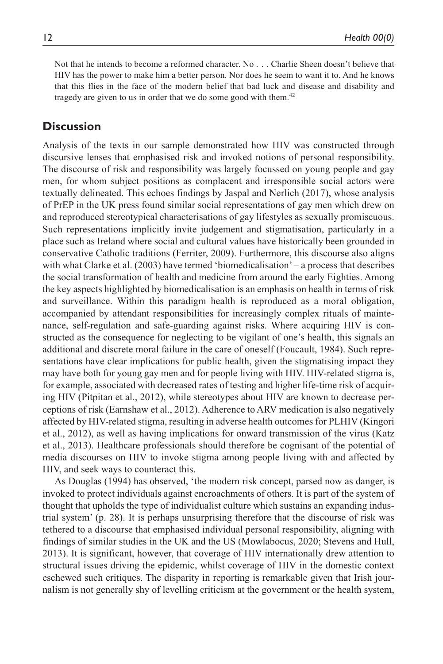Not that he intends to become a reformed character. No . . . Charlie Sheen doesn't believe that HIV has the power to make him a better person. Nor does he seem to want it to. And he knows that this flies in the face of the modern belief that bad luck and disease and disability and tragedy are given to us in order that we do some good with them.<sup>42</sup>

## **Discussion**

Analysis of the texts in our sample demonstrated how HIV was constructed through discursive lenses that emphasised risk and invoked notions of personal responsibility. The discourse of risk and responsibility was largely focussed on young people and gay men, for whom subject positions as complacent and irresponsible social actors were textually delineated. This echoes findings by Jaspal and Nerlich (2017), whose analysis of PrEP in the UK press found similar social representations of gay men which drew on and reproduced stereotypical characterisations of gay lifestyles as sexually promiscuous. Such representations implicitly invite judgement and stigmatisation, particularly in a place such as Ireland where social and cultural values have historically been grounded in conservative Catholic traditions (Ferriter, 2009). Furthermore, this discourse also aligns with what Clarke et al. (2003) have termed 'biomedicalisation' – a process that describes the social transformation of health and medicine from around the early Eighties. Among the key aspects highlighted by biomedicalisation is an emphasis on health in terms of risk and surveillance. Within this paradigm health is reproduced as a moral obligation, accompanied by attendant responsibilities for increasingly complex rituals of maintenance, self-regulation and safe-guarding against risks. Where acquiring HIV is constructed as the consequence for neglecting to be vigilant of one's health, this signals an additional and discrete moral failure in the care of oneself (Foucault, 1984). Such representations have clear implications for public health, given the stigmatising impact they may have both for young gay men and for people living with HIV. HIV-related stigma is, for example, associated with decreased rates of testing and higher life-time risk of acquiring HIV (Pitpitan et al., 2012), while stereotypes about HIV are known to decrease perceptions of risk (Earnshaw et al., 2012). Adherence to ARV medication is also negatively affected by HIV-related stigma, resulting in adverse health outcomes for PLHIV (Kingori et al., 2012), as well as having implications for onward transmission of the virus (Katz et al., 2013). Healthcare professionals should therefore be cognisant of the potential of media discourses on HIV to invoke stigma among people living with and affected by HIV, and seek ways to counteract this.

As Douglas (1994) has observed, 'the modern risk concept, parsed now as danger, is invoked to protect individuals against encroachments of others. It is part of the system of thought that upholds the type of individualist culture which sustains an expanding industrial system' (p. 28). It is perhaps unsurprising therefore that the discourse of risk was tethered to a discourse that emphasised individual personal responsibility, aligning with findings of similar studies in the UK and the US (Mowlabocus, 2020; Stevens and Hull, 2013). It is significant, however, that coverage of HIV internationally drew attention to structural issues driving the epidemic, whilst coverage of HIV in the domestic context eschewed such critiques. The disparity in reporting is remarkable given that Irish journalism is not generally shy of levelling criticism at the government or the health system,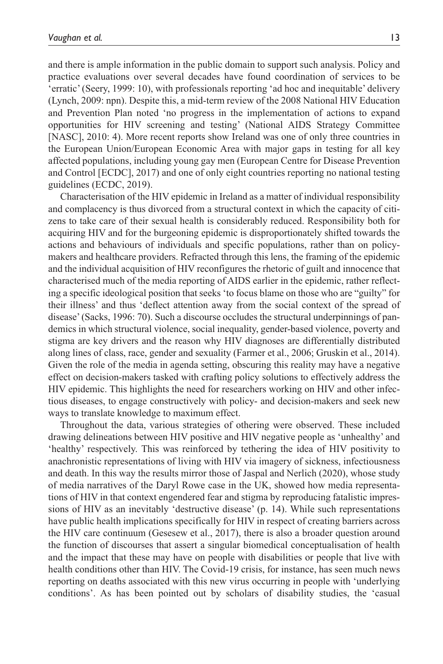and there is ample information in the public domain to support such analysis. Policy and practice evaluations over several decades have found coordination of services to be 'erratic' (Seery, 1999: 10), with professionals reporting 'ad hoc and inequitable' delivery (Lynch, 2009: npn). Despite this, a mid-term review of the 2008 National HIV Education and Prevention Plan noted 'no progress in the implementation of actions to expand opportunities for HIV screening and testing' (National AIDS Strategy Committee [NASC], 2010: 4). More recent reports show Ireland was one of only three countries in the European Union/European Economic Area with major gaps in testing for all key affected populations, including young gay men (European Centre for Disease Prevention and Control [ECDC], 2017) and one of only eight countries reporting no national testing guidelines (ECDC, 2019).

Characterisation of the HIV epidemic in Ireland as a matter of individual responsibility and complacency is thus divorced from a structural context in which the capacity of citizens to take care of their sexual health is considerably reduced. Responsibility both for acquiring HIV and for the burgeoning epidemic is disproportionately shifted towards the actions and behaviours of individuals and specific populations, rather than on policymakers and healthcare providers. Refracted through this lens, the framing of the epidemic and the individual acquisition of HIV reconfigures the rhetoric of guilt and innocence that characterised much of the media reporting of AIDS earlier in the epidemic, rather reflecting a specific ideological position that seeks 'to focus blame on those who are "guilty" for their illness' and thus 'deflect attention away from the social context of the spread of disease' (Sacks, 1996: 70). Such a discourse occludes the structural underpinnings of pandemics in which structural violence, social inequality, gender-based violence, poverty and stigma are key drivers and the reason why HIV diagnoses are differentially distributed along lines of class, race, gender and sexuality (Farmer et al., 2006; Gruskin et al., 2014). Given the role of the media in agenda setting, obscuring this reality may have a negative effect on decision-makers tasked with crafting policy solutions to effectively address the HIV epidemic. This highlights the need for researchers working on HIV and other infectious diseases, to engage constructively with policy- and decision-makers and seek new ways to translate knowledge to maximum effect.

Throughout the data, various strategies of othering were observed. These included drawing delineations between HIV positive and HIV negative people as 'unhealthy' and 'healthy' respectively. This was reinforced by tethering the idea of HIV positivity to anachronistic representations of living with HIV via imagery of sickness, infectiousness and death. In this way the results mirror those of Jaspal and Nerlich (2020), whose study of media narratives of the Daryl Rowe case in the UK, showed how media representations of HIV in that context engendered fear and stigma by reproducing fatalistic impressions of HIV as an inevitably 'destructive disease' (p. 14). While such representations have public health implications specifically for HIV in respect of creating barriers across the HIV care continuum (Gesesew et al., 2017), there is also a broader question around the function of discourses that assert a singular biomedical conceptualisation of health and the impact that these may have on people with disabilities or people that live with health conditions other than HIV. The Covid-19 crisis, for instance, has seen much news reporting on deaths associated with this new virus occurring in people with 'underlying conditions'. As has been pointed out by scholars of disability studies, the 'casual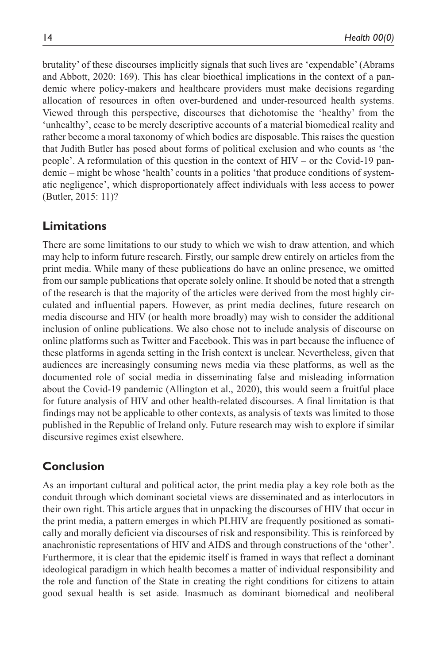brutality' of these discourses implicitly signals that such lives are 'expendable' (Abrams and Abbott, 2020: 169). This has clear bioethical implications in the context of a pandemic where policy-makers and healthcare providers must make decisions regarding allocation of resources in often over-burdened and under-resourced health systems. Viewed through this perspective, discourses that dichotomise the 'healthy' from the 'unhealthy', cease to be merely descriptive accounts of a material biomedical reality and rather become a moral taxonomy of which bodies are disposable. This raises the question that Judith Butler has posed about forms of political exclusion and who counts as 'the people'. A reformulation of this question in the context of HIV – or the Covid-19 pandemic – might be whose 'health' counts in a politics 'that produce conditions of systematic negligence', which disproportionately affect individuals with less access to power (Butler, 2015: 11)?

# **Limitations**

There are some limitations to our study to which we wish to draw attention, and which may help to inform future research. Firstly, our sample drew entirely on articles from the print media. While many of these publications do have an online presence, we omitted from our sample publications that operate solely online. It should be noted that a strength of the research is that the majority of the articles were derived from the most highly circulated and influential papers. However, as print media declines, future research on media discourse and HIV (or health more broadly) may wish to consider the additional inclusion of online publications. We also chose not to include analysis of discourse on online platforms such as Twitter and Facebook. This was in part because the influence of these platforms in agenda setting in the Irish context is unclear. Nevertheless, given that audiences are increasingly consuming news media via these platforms, as well as the documented role of social media in disseminating false and misleading information about the Covid-19 pandemic (Allington et al., 2020), this would seem a fruitful place for future analysis of HIV and other health-related discourses. A final limitation is that findings may not be applicable to other contexts, as analysis of texts was limited to those published in the Republic of Ireland only. Future research may wish to explore if similar discursive regimes exist elsewhere.

# **Conclusion**

As an important cultural and political actor, the print media play a key role both as the conduit through which dominant societal views are disseminated and as interlocutors in their own right. This article argues that in unpacking the discourses of HIV that occur in the print media, a pattern emerges in which PLHIV are frequently positioned as somatically and morally deficient via discourses of risk and responsibility. This is reinforced by anachronistic representations of HIV and AIDS and through constructions of the 'other'. Furthermore, it is clear that the epidemic itself is framed in ways that reflect a dominant ideological paradigm in which health becomes a matter of individual responsibility and the role and function of the State in creating the right conditions for citizens to attain good sexual health is set aside. Inasmuch as dominant biomedical and neoliberal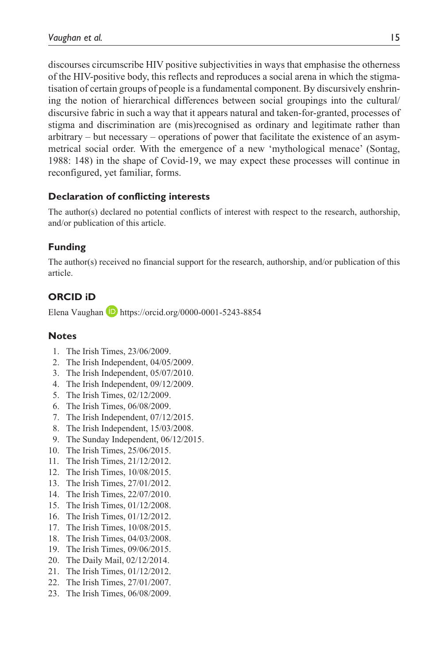discourses circumscribe HIV positive subjectivities in ways that emphasise the otherness of the HIV-positive body, this reflects and reproduces a social arena in which the stigmatisation of certain groups of people is a fundamental component. By discursively enshrining the notion of hierarchical differences between social groupings into the cultural/ discursive fabric in such a way that it appears natural and taken-for-granted, processes of stigma and discrimination are (mis)recognised as ordinary and legitimate rather than arbitrary – but necessary – operations of power that facilitate the existence of an asymmetrical social order. With the emergence of a new 'mythological menace' (Sontag, 1988: 148) in the shape of Covid-19, we may expect these processes will continue in reconfigured, yet familiar, forms.

#### **Declaration of conflicting interests**

The author(s) declared no potential conflicts of interest with respect to the research, authorship, and/or publication of this article.

## **Funding**

The author(s) received no financial support for the research, authorship, and/or publication of this article.

# **ORCID iD**

Elena Vaughan **D** <https://orcid.org/0000-0001-5243-8854>

#### **Notes**

- 1. The Irish Times, 23/06/2009.
- 2. The Irish Independent, 04/05/2009.
- 3. The Irish Independent, 05/07/2010.
- 4. The Irish Independent, 09/12/2009.
- 5. The Irish Times, 02/12/2009.
- 6. The Irish Times, 06/08/2009.
- 7. The Irish Independent, 07/12/2015.
- 8. The Irish Independent, 15/03/2008.
- 9. The Sunday Independent, 06/12/2015.
- 10. The Irish Times, 25/06/2015.
- 11. The Irish Times, 21/12/2012.
- 12. The Irish Times, 10/08/2015.
- 13. The Irish Times, 27/01/2012.
- 14. The Irish Times, 22/07/2010.
- 15. The Irish Times, 01/12/2008.
- 16. The Irish Times, 01/12/2012.
- 17. The Irish Times, 10/08/2015.
- 18. The Irish Times, 04/03/2008.
- 19. The Irish Times, 09/06/2015.
- 20. The Daily Mail, 02/12/2014.
- 21. The Irish Times, 01/12/2012.
- 22. The Irish Times, 27/01/2007.
- 23. The Irish Times, 06/08/2009.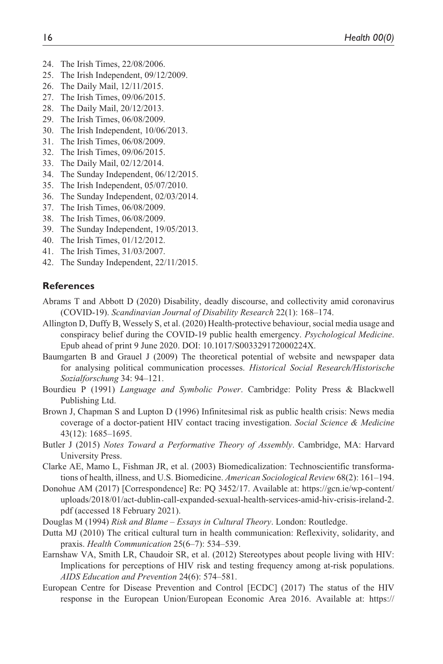- 24. The Irish Times, 22/08/2006.
- 25. The Irish Independent, 09/12/2009.
- 26. The Daily Mail, 12/11/2015.
- 27. The Irish Times, 09/06/2015.
- 28. The Daily Mail, 20/12/2013.
- 29. The Irish Times, 06/08/2009.
- 30. The Irish Independent, 10/06/2013.
- 31. The Irish Times, 06/08/2009.
- 32. The Irish Times, 09/06/2015.
- 33. The Daily Mail, 02/12/2014.
- 34. The Sunday Independent, 06/12/2015.
- 35. The Irish Independent, 05/07/2010.
- 36. The Sunday Independent, 02/03/2014.
- 37. The Irish Times, 06/08/2009.
- 38. The Irish Times, 06/08/2009.
- 39. The Sunday Independent, 19/05/2013.
- 40. The Irish Times, 01/12/2012.
- 41. The Irish Times, 31/03/2007.
- 42. The Sunday Independent, 22/11/2015.

#### **References**

- Abrams T and Abbott D (2020) Disability, deadly discourse, and collectivity amid coronavirus (COVID-19). *Scandinavian Journal of Disability Research* 22(1): 168–174.
- Allington D, Duffy B, Wessely S, et al. (2020) Health-protective behaviour, social media usage and conspiracy belief during the COVID-19 public health emergency. *Psychological Medicine*. Epub ahead of print 9 June 2020. DOI: 10.1017/S003329172000224X.
- Baumgarten B and Grauel J (2009) The theoretical potential of website and newspaper data for analysing political communication processes. *Historical Social Research/Historische Sozialforschung* 34: 94–121.
- Bourdieu P (1991) *Language and Symbolic Power*. Cambridge: Polity Press & Blackwell Publishing Ltd.
- Brown J, Chapman S and Lupton D (1996) Infinitesimal risk as public health crisis: News media coverage of a doctor-patient HIV contact tracing investigation. *Social Science & Medicine* 43(12): 1685–1695.
- Butler J (2015) *Notes Toward a Performative Theory of Assembly*. Cambridge, MA: Harvard University Press.
- Clarke AE, Mamo L, Fishman JR, et al. (2003) Biomedicalization: Technoscientific transformations of health, illness, and U.S. Biomedicine. *American Sociological Review* 68(2): 161–194.
- Donohue AM (2017) [Correspondence] Re: PQ 3452/17. Available at: [https://gcn.ie/wp-content/](https://gcn.ie/wp-content/uploads/2018/01/act-dublin-call-expanded-sexual-health-services-amid-hiv-crisis-ireland-2.pdf) [uploads/2018/01/act-dublin-call-expanded-sexual-health-services-amid-hiv-crisis-ireland-2.](https://gcn.ie/wp-content/uploads/2018/01/act-dublin-call-expanded-sexual-health-services-amid-hiv-crisis-ireland-2.pdf) [pdf](https://gcn.ie/wp-content/uploads/2018/01/act-dublin-call-expanded-sexual-health-services-amid-hiv-crisis-ireland-2.pdf) (accessed 18 February 2021).
- Douglas M (1994) *Risk and Blame Essays in Cultural Theory*. London: Routledge.
- Dutta MJ (2010) The critical cultural turn in health communication: Reflexivity, solidarity, and praxis. *Health Communication* 25(6–7): 534–539.
- Earnshaw VA, Smith LR, Chaudoir SR, et al. (2012) Stereotypes about people living with HIV: Implications for perceptions of HIV risk and testing frequency among at-risk populations. *AIDS Education and Prevention* 24(6): 574–581.
- European Centre for Disease Prevention and Control [ECDC] (2017) The status of the HIV response in the European Union/European Economic Area 2016. Available at: [https://](https://www.ecdc.europa.eu/sites/default/files/media/en/publications/Publications/Status-of-HIV-response-in-EU-EEA-2016-30-jan-2017.pdf)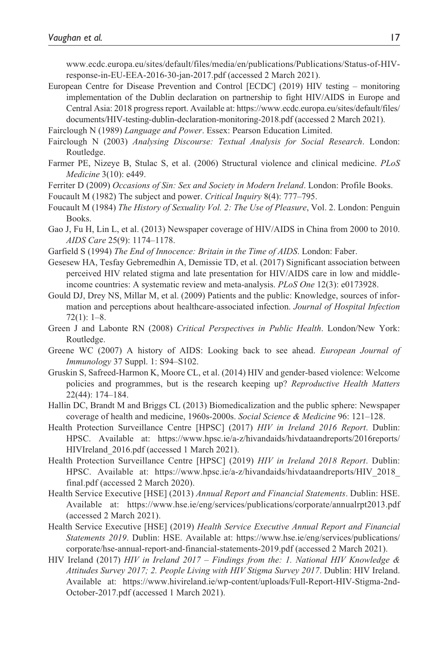[www.ecdc.europa.eu/sites/default/files/media/en/publications/Publications/Status-of-HIV](https://www.ecdc.europa.eu/sites/default/files/media/en/publications/Publications/Status-of-HIV-response-in-EU-EEA-2016-30-jan-2017.pdf)[response-in-EU-EEA-2016-30-jan-2017.pdf](https://www.ecdc.europa.eu/sites/default/files/media/en/publications/Publications/Status-of-HIV-response-in-EU-EEA-2016-30-jan-2017.pdf) (accessed 2 March 2021).

- European Centre for Disease Prevention and Control [ECDC] (2019) HIV testing monitoring implementation of the Dublin declaration on partnership to fight HIV/AIDS in Europe and Central Asia: 2018 progress report. Available at: [https://www.ecdc.europa.eu/sites/default/files/](https://www.ecdc.europa.eu/sites/default/files/documents/HIV-testing-dublin-declaration-monitoring-2018.pdf) [documents/HIV-testing-dublin-declaration-monitoring-2018.pdf](https://www.ecdc.europa.eu/sites/default/files/documents/HIV-testing-dublin-declaration-monitoring-2018.pdf) (accessed 2 March 2021).
- Fairclough N (1989) *Language and Power*. Essex: Pearson Education Limited.
- Fairclough N (2003) *Analysing Discourse: Textual Analysis for Social Research*. London: Routledge.
- Farmer PE, Nizeye B, Stulac S, et al. (2006) Structural violence and clinical medicine. *PLoS Medicine* 3(10): e449.
- Ferriter D (2009) *Occasions of Sin: Sex and Society in Modern Ireland*. London: Profile Books.
- Foucault M (1982) The subject and power. *Critical Inquiry* 8(4): 777–795.
- Foucault M (1984) *The History of Sexuality Vol. 2: The Use of Pleasure*, Vol. 2. London: Penguin Books.
- Gao J, Fu H, Lin L, et al. (2013) Newspaper coverage of HIV/AIDS in China from 2000 to 2010. *AIDS Care* 25(9): 1174–1178.
- Garfield S (1994) *The End of Innocence: Britain in the Time of AIDS*. London: Faber.
- Gesesew HA, Tesfay Gebremedhin A, Demissie TD, et al. (2017) Significant association between perceived HIV related stigma and late presentation for HIV/AIDS care in low and middleincome countries: A systematic review and meta-analysis. *PLoS One* 12(3): e0173928.
- Gould DJ, Drey NS, Millar M, et al. (2009) Patients and the public: Knowledge, sources of information and perceptions about healthcare-associated infection. *Journal of Hospital Infection* 72(1): 1–8.
- Green J and Labonte RN (2008) *Critical Perspectives in Public Health*. London/New York: Routledge.
- Greene WC (2007) A history of AIDS: Looking back to see ahead. *European Journal of Immunology* 37 Suppl. 1: S94–S102.
- Gruskin S, Safreed-Harmon K, Moore CL, et al. (2014) HIV and gender-based violence: Welcome policies and programmes, but is the research keeping up? *Reproductive Health Matters* 22(44): 174–184.
- Hallin DC, Brandt M and Briggs CL (2013) Biomedicalization and the public sphere: Newspaper coverage of health and medicine, 1960s-2000s. *Social Science & Medicine* 96: 121–128.
- Health Protection Surveillance Centre [HPSC] (2017) *HIV in Ireland 2016 Report*. Dublin: HPSC. Available at: [https://www.hpsc.ie/a-z/hivandaids/hivdataandreports/2016reports/](https://www.hpsc.ie/a-z/hivandaids/hivdataandreports/2016reports/HIVIreland_2016.pdf) [HIVIreland\\_2016.pdf](https://www.hpsc.ie/a-z/hivandaids/hivdataandreports/2016reports/HIVIreland_2016.pdf) (accessed 1 March 2021).
- Health Protection Surveillance Centre [HPSC] (2019) *HIV in Ireland 2018 Report*. Dublin: HPSC. Available at: [https://www.hpsc.ie/a-z/hivandaids/hivdataandreports/HIV\\_2018\\_](https://www.hpsc.ie/a-z/hivandaids/hivdataandreports/HIV_2018_final.pdf) [final.pdf](https://www.hpsc.ie/a-z/hivandaids/hivdataandreports/HIV_2018_final.pdf) (accessed 2 March 2020).
- Health Service Executive [HSE] (2013) *Annual Report and Financial Statements*. Dublin: HSE. Available at: <https://www.hse.ie/eng/services/publications/corporate/annualrpt2013.pdf> (accessed 2 March 2021).
- Health Service Executive [HSE] (2019) *Health Service Executive Annual Report and Financial Statements 2019*. Dublin: HSE. Available at: [https://www.hse.ie/eng/services/publications/](https://www.hse.ie/eng/services/publications/corporate/hse-annual-report-and-financial-statements-2019.pdf) [corporate/hse-annual-report-and-financial-statements-2019.pdf](https://www.hse.ie/eng/services/publications/corporate/hse-annual-report-and-financial-statements-2019.pdf) (accessed 2 March 2021).
- HIV Ireland (2017) *HIV in Ireland 2017 Findings from the: 1. National HIV Knowledge & Attitudes Survey 2017; 2. People Living with HIV Stigma Survey 2017*. Dublin: HIV Ireland. Available at: [https://www.hivireland.ie/wp-content/uploads/Full-Report-HIV-Stigma-2nd-](https://www.hivireland.ie/wp-content/uploads/Full-Report-HIV-Stigma-2nd-October-2017.pdf)[October-2017.pdf](https://www.hivireland.ie/wp-content/uploads/Full-Report-HIV-Stigma-2nd-October-2017.pdf) (accessed 1 March 2021).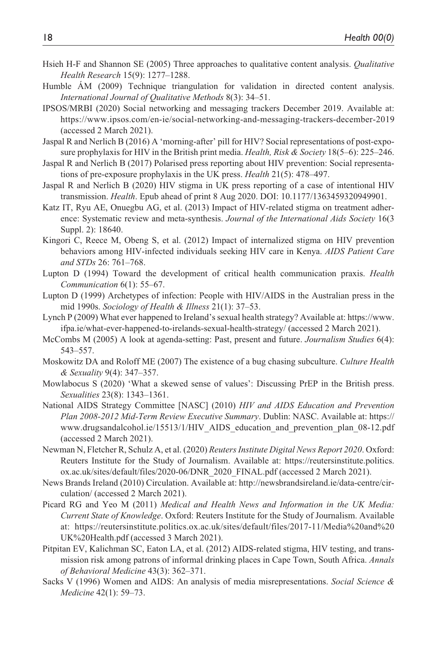- Hsieh H-F and Shannon SE (2005) Three approaches to qualitative content analysis. *Qualitative Health Research* 15(9): 1277–1288.
- Humble ÁM (2009) Technique triangulation for validation in directed content analysis. *International Journal of Qualitative Methods* 8(3): 34–51.
- IPSOS/MRBI (2020) Social networking and messaging trackers December 2019. Available at: <https://www.ipsos.com/en-ie/social-networking-and-messaging-trackers-december-2019> (accessed 2 March 2021).
- Jaspal R and Nerlich B (2016) A 'morning-after' pill for HIV? Social representations of post-exposure prophylaxis for HIV in the British print media. *Health, Risk & Society* 18(5–6): 225–246.
- Jaspal R and Nerlich B (2017) Polarised press reporting about HIV prevention: Social representations of pre-exposure prophylaxis in the UK press. *Health* 21(5): 478–497.
- Jaspal R and Nerlich B (2020) HIV stigma in UK press reporting of a case of intentional HIV transmission. *Health*. Epub ahead of print 8 Aug 2020. DOI: 10.1177/1363459320949901.
- Katz IT, Ryu AE, Onuegbu AG, et al. (2013) Impact of HIV-related stigma on treatment adherence: Systematic review and meta-synthesis. *Journal of the International Aids Society* 16(3 Suppl. 2): 18640.
- Kingori C, Reece M, Obeng S, et al. (2012) Impact of internalized stigma on HIV prevention behaviors among HIV-infected individuals seeking HIV care in Kenya. *AIDS Patient Care and STDs* 26: 761–768.
- Lupton D (1994) Toward the development of critical health communication praxis. *Health Communication* 6(1): 55–67.
- Lupton D (1999) Archetypes of infection: People with HIV/AIDS in the Australian press in the mid 1990s. *Sociology of Health & Illness* 21(1): 37–53.
- Lynch P (2009) What ever happened to Ireland's sexual health strategy? Available at: [https://www.](https://www.ifpa.ie/what-ever-happened-to-irelands-sexual-health-strategy/) [ifpa.ie/what-ever-happened-to-irelands-sexual-health-strategy/](https://www.ifpa.ie/what-ever-happened-to-irelands-sexual-health-strategy/) (accessed 2 March 2021).
- McCombs M (2005) A look at agenda-setting: Past, present and future. *Journalism Studies* 6(4): 543–557.
- Moskowitz DA and Roloff ME (2007) The existence of a bug chasing subculture. *Culture Health & Sexuality* 9(4): 347–357.
- Mowlabocus S (2020) 'What a skewed sense of values': Discussing PrEP in the British press. *Sexualities* 23(8): 1343–1361.
- National AIDS Strategy Committee [NASC] (2010) *HIV and AIDS Education and Prevention Plan 2008-2012 Mid-Term Review Executive Summary*. Dublin: NASC. Available at: [https://](https://www.drugsandalcohol.ie/15513/1/HIV_AIDS_education_and_prevention_plan_08-12.pdf) [www.drugsandalcohol.ie/15513/1/HIV\\_AIDS\\_education\\_and\\_prevention\\_plan\\_08-12.pdf](https://www.drugsandalcohol.ie/15513/1/HIV_AIDS_education_and_prevention_plan_08-12.pdf)  (accessed 2 March 2021).
- Newman N, Fletcher R, Schulz A, et al. (2020) *Reuters Institute Digital News Report 2020*. Oxford: Reuters Institute for the Study of Journalism. Available at: [https://reutersinstitute.politics.](https://reutersinstitute.politics.ox.ac.uk/sites/default/files/2020-06/DNR_2020_FINAL.pdf) [ox.ac.uk/sites/default/files/2020-06/DNR\\_2020\\_FINAL.pdf](https://reutersinstitute.politics.ox.ac.uk/sites/default/files/2020-06/DNR_2020_FINAL.pdf) (accessed 2 March 2021).
- News Brands Ireland (2010) Circulation. Available at: [http://newsbrandsireland.ie/data-centre/cir](http://newsbrandsireland.ie/data-centre/circulation/)[culation/](http://newsbrandsireland.ie/data-centre/circulation/) (accessed 2 March 2021).
- Picard RG and Yeo M (2011) *Medical and Health News and Information in the UK Media: Current State of Knowledge*. Oxford: Reuters Institute for the Study of Journalism. Available at: [https://reutersinstitute.politics.ox.ac.uk/sites/default/files/2017-11/Media%20and%20](https://reutersinstitute.politics.ox.ac.uk/sites/default/files/2017-11/Media%20and%20UK%20Health.pdf) [UK%20Health.pdf](https://reutersinstitute.politics.ox.ac.uk/sites/default/files/2017-11/Media%20and%20UK%20Health.pdf) (accessed 3 March 2021).
- Pitpitan EV, Kalichman SC, Eaton LA, et al. (2012) AIDS-related stigma, HIV testing, and transmission risk among patrons of informal drinking places in Cape Town, South Africa. *Annals of Behavioral Medicine* 43(3): 362–371.
- Sacks V (1996) Women and AIDS: An analysis of media misrepresentations. *Social Science & Medicine* 42(1): 59–73.